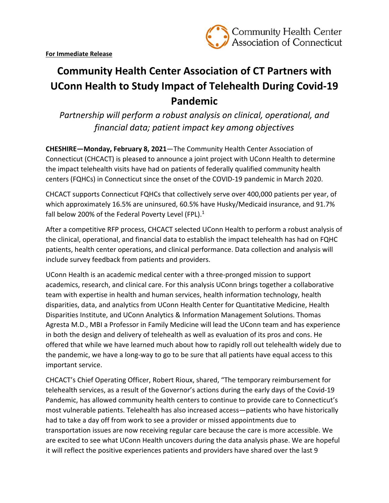

## **Community Health Center Association of CT Partners with UConn Health to Study Impact of Telehealth During Covid‐19 Pandemic**

*Partnership will perform a robust analysis on clinical, operational, and financial data; patient impact key among objectives* 

**CHESHIRE—Monday, February 8, 2021**—The Community Health Center Association of Connecticut (CHCACT) is pleased to announce a joint project with UConn Health to determine the impact telehealth visits have had on patients of federally qualified community health centers (FQHCs) in Connecticut since the onset of the COVID‐19 pandemic in March 2020.

CHCACT supports Connecticut FQHCs that collectively serve over 400,000 patients per year, of which approximately 16.5% are uninsured, 60.5% have Husky/Medicaid insurance, and 91.7% fall below 200% of the Federal Poverty Level (FPL). $1$ 

After a competitive RFP process, CHCACT selected UConn Health to perform a robust analysis of the clinical, operational, and financial data to establish the impact telehealth has had on FQHC patients, health center operations, and clinical performance. Data collection and analysis will include survey feedback from patients and providers.

UConn Health is an academic medical center with a three‐pronged mission to support academics, research, and clinical care. For this analysis UConn brings together a collaborative team with expertise in health and human services, health information technology, health disparities, data, and analytics from UConn Health Center for Quantitative Medicine, Health Disparities Institute, and UConn Analytics & Information Management Solutions. Thomas Agresta M.D., MBI a Professor in Family Medicine will lead the UConn team and has experience in both the design and delivery of telehealth as well as evaluation of its pros and cons. He offered that while we have learned much about how to rapidly roll out telehealth widely due to the pandemic, we have a long‐way to go to be sure that all patients have equal access to this important service.

CHCACT's Chief Operating Officer, Robert Rioux, shared, "The temporary reimbursement for telehealth services, as a result of the Governor's actions during the early days of the Covid‐19 Pandemic, has allowed community health centers to continue to provide care to Connecticut's most vulnerable patients. Telehealth has also increased access—patients who have historically had to take a day off from work to see a provider or missed appointments due to transportation issues are now receiving regular care because the care is more accessible. We are excited to see what UConn Health uncovers during the data analysis phase. We are hopeful it will reflect the positive experiences patients and providers have shared over the last 9